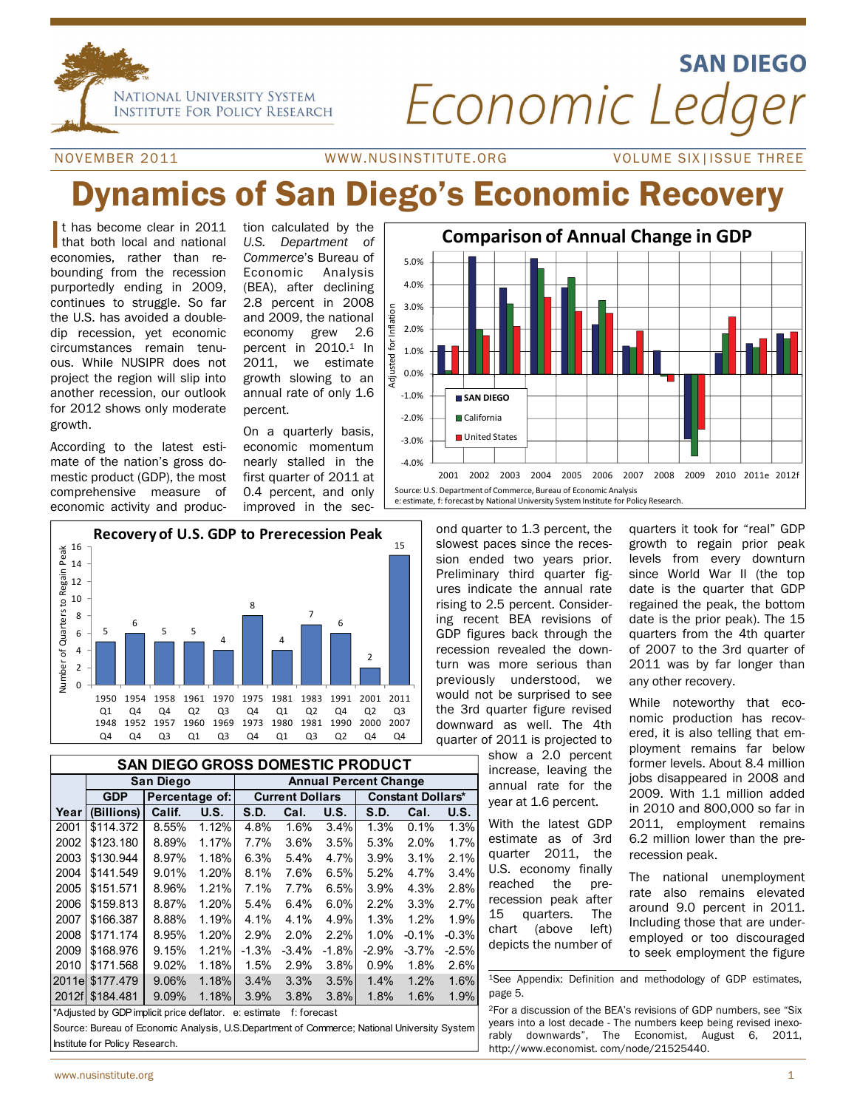NATIONAL UNIVERSITY SYSTEM **INSTITUTE FOR POLICY RESEARCH** 

# **SAN DIEGO** Economic Lede

Adjusted for Inflation

ion Inflat ă Adjusted

NOVEMBER 2011 WWW.NUSINSTITUTE.ORG VOLUME SIX|ISSUE THREE

## namics of San Diego's Economic Recovery

I t has become clear in 2011 that both local and national economies, rather than rebounding from the recession purportedly ending in 2009, continues to struggle. So far the U.S. has avoided a doubledip recession, yet economic circumstances remain tenuous. While NUSIPR does not project the region will slip into another recession, our outlook for 2012 shows only moderate growth.

tion calculated by the *U.S. Department of Commerce*'s Bureau of Economic Analysis (BEA), after declining 2.8 percent in 2008 and 2009, the national economy grew 2.6 percent in 2010.1 In 2011, we estimate growth slowing to an annual rate of only 1.6 percent.

According to the latest estimate of the nation's gross domestic product (GDP), the most comprehensive measure of economic activity and producOn a quarterly basis, economic momentum nearly stalled in the first quarter of 2011 at 0.4 percent, and only improved in the sec-



#### **SAN DIEGO GROSS DOMESTIC PRODUCT**

|        | <b>San Diego</b> | <b>Annual Percent Change</b> |       |             |                        |         |                          |         |             |  |  |
|--------|------------------|------------------------------|-------|-------------|------------------------|---------|--------------------------|---------|-------------|--|--|
|        | <b>GDP</b>       | Percentage of:               |       |             | <b>Current Dollars</b> |         | <b>Constant Dollars*</b> |         |             |  |  |
| Year   | (Billions)       | Calif.                       | U.S.  | <b>S.D.</b> | Cal.                   | U.S.    | <b>S.D.</b>              | Cal.    | <b>U.S.</b> |  |  |
| 2001   | \$114.372        | 8.55%                        | 1.12% | 4.8%        | 1.6%                   | 3.4%    | 1.3%                     | 0.1%    | 1.3%        |  |  |
| 2002   | \$123.180        | 8.89%                        | 1.17% | 7.7%        | 3.6%                   | 3.5%    | 5.3%                     | 2.0%    | 1.7%        |  |  |
| 2003   | \$130.944        | 8.97%                        | 1.18% | 6.3%        | 5.4%                   | 4.7%    | 3.9%                     | 3.1%    | 2.1%        |  |  |
| 2004   | \$141.549        | 9.01%                        | 1.20% | 8.1%        | 7.6%                   | 6.5%    | 5.2%                     | $4.7\%$ | 3.4%        |  |  |
| 2005   | \$151.571        | 8.96%                        | 1.21% | 7.1%        | $7.7\%$                | 6.5%    | 3.9%                     | 4.3%    | 2.8%        |  |  |
| 2006   | \$159.813        | 8.87%                        | 1.20% | 5.4%        | 6.4%                   | 6.0%    | 2.2%                     | 3.3%    | 2.7%        |  |  |
| 2007   | \$166.387        | 8.88%                        | 1.19% | 4.1%        | 4.1%                   | 4.9%    | 1.3%                     | 1.2%    | 1.9%        |  |  |
| 2008   | \$171.174        | 8.95%                        | 1.20% | 2.9%        | 2.0%                   | 2.2%    | 1.0%                     | $-0.1%$ | $-0.3%$     |  |  |
| 2009   | \$168.976        | 9.15%                        | 1.21% | $-1.3%$     | $-3.4%$                | $-1.8%$ | $-2.9%$                  | $-3.7%$ | $-2.5%$     |  |  |
| 2010   | \$171.568        | 9.02%                        | 1.18% | 1.5%        | 2.9%                   | $3.8\%$ | 0.9%                     | 1.8%    | 2.6%        |  |  |
| 2011el | \$177.479        | 9.06%                        | 1.18% | 3.4%        | 3.3%                   | 3.5%    | 1.4%                     | 1.2%    | 1.6%        |  |  |
| 2012f  | \$184.481        | 9.09%                        | 1.18% | 3.9%        | 3.8%                   | $3.8\%$ | 1.8%                     | 1.6%    | 1.9%        |  |  |

\*Adjusted by GDP implicit price deflator. e: estimate f: forecast

Source: Bureau of Economic Analysis, U.S.Department of Commerce; National University System Institute for Policy Research.



ond quarter to 1.3 percent, the slowest paces since the recession ended two years prior. Preliminary third quarter figures indicate the annual rate rising to 2.5 percent. Considering recent BEA revisions of GDP figures back through the recession revealed the downturn was more serious than previously understood, we would not be surprised to see the 3rd quarter figure revised downward as well. The 4th quarter of 2011 is projected to

show a 2.0 percent increase, leaving the annual rate for the year at 1.6 percent.

With the latest GDP estimate as of 3rd quarter 2011, the U.S. economy finally reached the prerecession peak after 15 quarters. The chart (above left) depicts the number of quarters it took for "real" GDP growth to regain prior peak levels from every downturn since World War II (the top date is the quarter that GDP regained the peak, the bottom date is the prior peak). The 15 quarters from the 4th quarter of 2007 to the 3rd quarter of 2011 was by far longer than any other recovery.

While noteworthy that economic production has recovered, it is also telling that employment remains far below former levels. About 8.4 million jobs disappeared in 2008 and 2009. With 1.1 million added in 2010 and 800,000 so far in 2011, employment remains 6.2 million lower than the prerecession peak.

The national unemployment rate also remains elevated around 9.0 percent in 2011. Including those that are underemployed or too discouraged to seek employment the figure

1See Appendix: Definition and methodology of GDP estimates, page 5.

2For a discussion of the BEA's revisions of GDP numbers, see "Six years into a lost decade - The numbers keep being revised inexorably downwards", The Economist, August 6, 2011, http://www.economist. com/node/21525440.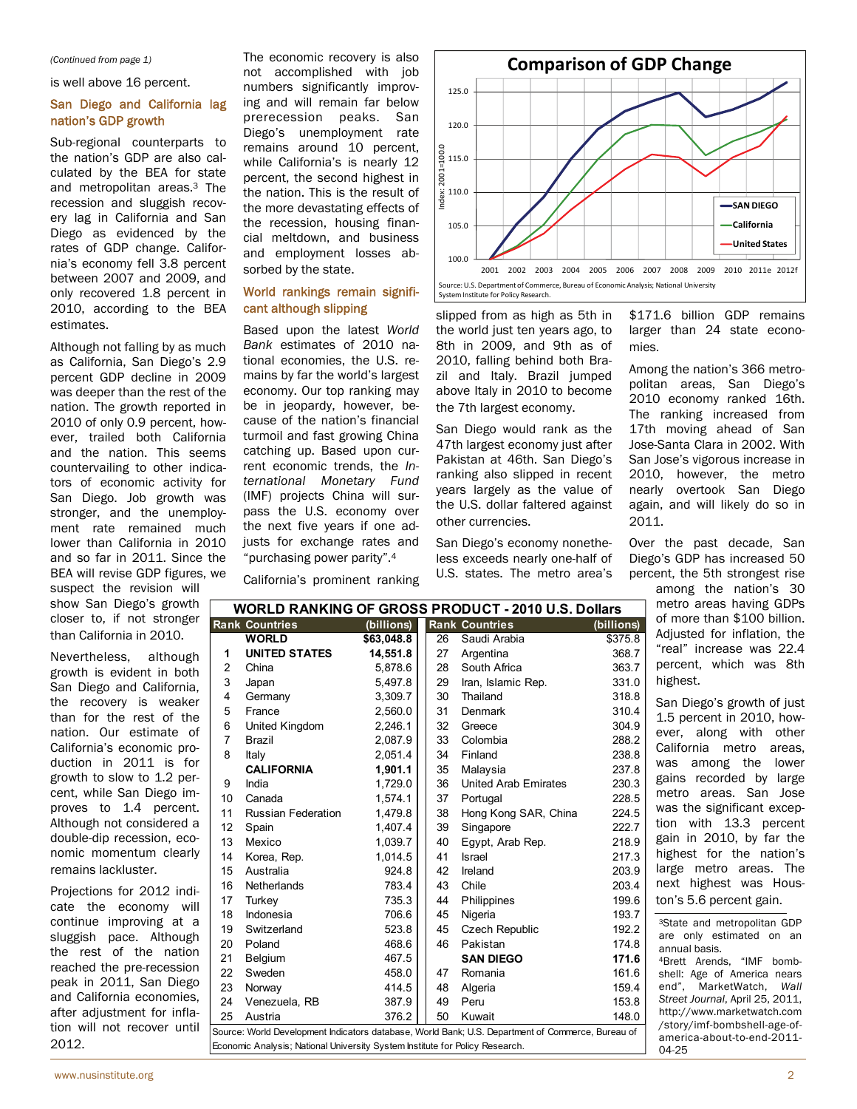#### *(Continued from page 1)*

is well above 16 percent.

#### San Diego and California lag nation's GDP growth

Sub-regional counterparts to the nation's GDP are also calculated by the BEA for state and metropolitan areas.3 The recession and sluggish recovery lag in California and San Diego as evidenced by the rates of GDP change. California's economy fell 3.8 percent between 2007 and 2009, and only recovered 1.8 percent in 2010, according to the BEA estimates.

Although not falling by as much as California, San Diego's 2.9 percent GDP decline in 2009 was deeper than the rest of the nation. The growth reported in 2010 of only 0.9 percent, however, trailed both California and the nation. This seems countervailing to other indicators of economic activity for San Diego. Job growth was stronger, and the unemployment rate remained much lower than California in 2010 and so far in 2011. Since the BEA will revise GDP figures, we

suspect the revision will show San Diego's growth closer to, if not stronger than California in 2010.

Nevertheless, although growth is evident in both San Diego and California, the recovery is weaker than for the rest of the nation. Our estimate of California's economic production in 2011 is for growth to slow to 1.2 percent, while San Diego improves to 1.4 percent. Although not considered a double-dip recession, economic momentum clearly remains lackluster.

Projections for 2012 indicate the economy will continue improving at a sluggish pace. Although the rest of the nation reached the pre-recession peak in 2011, San Diego and California economies, after adjustment for inflation will not recover until 2012.

The economic recovery is also not accomplished with job numbers significantly improving and will remain far below prerecession peaks. San Diego's unemployment rate remains around 10 percent, while California's is nearly 12 percent, the second highest in the nation. This is the result of the more devastating effects of the recession, housing financial meltdown, and business and employment losses absorbed by the state.

#### World rankings remain significant although slipping

Based upon the latest *World Bank* estimates of 2010 national economies, the U.S. remains by far the world's largest economy. Our top ranking may be in jeopardy, however, because of the nation's financial turmoil and fast growing China catching up. Based upon current economic trends, the *International Monetary Fund*  (IMF) projects China will surpass the U.S. economy over the next five years if one adjusts for exchange rates and "purchasing power parity".4

California's prominent ranking



slipped from as high as 5th in the world just ten years ago, to 8th in 2009, and 9th as of 2010, falling behind both Brazil and Italy. Brazil jumped above Italy in 2010 to become the 7th largest economy.

San Diego would rank as the 47th largest economy just after Pakistan at 46th. San Diego's ranking also slipped in recent years largely as the value of the U.S. dollar faltered against other currencies.

San Diego's economy nonetheless exceeds nearly one-half of U.S. states. The metro area's

\$171.6 billion GDP remains larger than 24 state economies.

Among the nation's 366 metropolitan areas, San Diego's 2010 economy ranked 16th. The ranking increased from 17th moving ahead of San Jose-Santa Clara in 2002. With San Jose's vigorous increase in 2010, however, the metro nearly overtook San Diego again, and will likely do so in 2011.

Over the past decade, San Diego's GDP has increased 50 percent, the 5th strongest rise

among the nation's 30 metro areas having GDPs more than \$100 billion. justed for inflation, the eal" increase was 22.4 rcent, which was 8th **thest.** 

n Diego's growth of just  $5$  percent in 2010, hower, along with other California metro areas, is among the lower ins recorded by large etro areas. San Jose as the significant excepn with 13.3 percent in in 2010, by far the thest for the nation's ge metro areas. The xt highest was Housn's 5.6 percent gain.

tate and metropolitan GDP e only estimated on an nual basis. rett Arends, "IMF bombell: Age of America nears d", MarketWatch, Wall *Street Journal*, April 25, 2011, tp://www.marketwatch.com tory/imf-bombshell-age-ofnerica-about-to-end-2011-04-25

| mε<br><b>WORLD RANKING OF GROSS PRODUCT - 2010 U.S. Dollars</b>                                               |                                                                                           |            |  |    |                             |            |                |  |  |  |  |
|---------------------------------------------------------------------------------------------------------------|-------------------------------------------------------------------------------------------|------------|--|----|-----------------------------|------------|----------------|--|--|--|--|
|                                                                                                               | <b>Rank Countries</b>                                                                     | (billions) |  |    | <b>Rank Countries</b>       | (billions) | of             |  |  |  |  |
|                                                                                                               | <b>WORLD</b>                                                                              | \$63,048.8 |  | 26 | Saudi Arabia                | \$375.8    | Ad             |  |  |  |  |
| 1                                                                                                             | <b>UNITED STATES</b>                                                                      | 14,551.8   |  | 27 | Argentina                   | 368.7      | $"$ re         |  |  |  |  |
| 2                                                                                                             | China                                                                                     | 5,878.6    |  | 28 | South Africa                | 363.7      | pe             |  |  |  |  |
| 3                                                                                                             | Japan                                                                                     | 5,497.8    |  | 29 | Iran, Islamic Rep.          | 331.0      | hig            |  |  |  |  |
| 4                                                                                                             | Germany                                                                                   | 3,309.7    |  | 30 | Thailand                    | 318.8      | Sa             |  |  |  |  |
| 5                                                                                                             | France                                                                                    | 2,560.0    |  | 31 | <b>Denmark</b>              | 310.4      | 1.5            |  |  |  |  |
| 6                                                                                                             | United Kingdom                                                                            | 2,246.1    |  | 32 | Greece                      | 304.9      |                |  |  |  |  |
| 7                                                                                                             | <b>Brazil</b>                                                                             | 2,087.9    |  | 33 | Colombia                    | 288.2      | ev<br>Ca       |  |  |  |  |
| 8                                                                                                             | Italy                                                                                     | 2,051.4    |  | 34 | Finland                     | 238.8      |                |  |  |  |  |
|                                                                                                               | <b>CALIFORNIA</b>                                                                         | 1,901.1    |  | 35 | Malaysia                    | 237.8      | wa             |  |  |  |  |
| 9                                                                                                             | India                                                                                     | 1,729.0    |  | 36 | <b>United Arab Emirates</b> | 230.3      | ga             |  |  |  |  |
| 10                                                                                                            | Canada                                                                                    | 1,574.1    |  | 37 | Portugal                    | 228.5      | m <sub>6</sub> |  |  |  |  |
| 11                                                                                                            | Russian Federation                                                                        | 1,479.8    |  | 38 | Hong Kong SAR, China        | 224.5      | wa             |  |  |  |  |
| 12                                                                                                            | Spain                                                                                     | 1,407.4    |  | 39 | Singapore                   | 222.7      | tio            |  |  |  |  |
| 13                                                                                                            | Mexico                                                                                    | 1,039.7    |  | 40 | Egypt, Arab Rep.            | 218.9      | ga             |  |  |  |  |
| 14                                                                                                            | Korea, Rep.                                                                               | 1,014.5    |  | 41 | Israel                      | 217.3      | hig            |  |  |  |  |
| 15                                                                                                            | Australia                                                                                 | 924.8      |  | 42 | Ireland                     | 203.9      | lar            |  |  |  |  |
| 16                                                                                                            | <b>Netherlands</b>                                                                        | 783.4      |  | 43 | Chile                       | 203.4      | ne             |  |  |  |  |
| 17                                                                                                            | Turkey                                                                                    | 735.3      |  | 44 | Philippines                 | 199.6      | tor            |  |  |  |  |
| 18                                                                                                            | Indonesia                                                                                 | 706.6      |  | 45 | Nigeria                     | 193.7      | 3S             |  |  |  |  |
| 19                                                                                                            | Switzerland                                                                               | 523.8      |  | 45 | <b>Czech Republic</b>       | 192.2      | ar             |  |  |  |  |
| 20                                                                                                            | Poland                                                                                    | 468.6      |  | 46 | Pakistan                    | 174.8      | an             |  |  |  |  |
| 21                                                                                                            | Belgium                                                                                   | 467.5      |  |    | <b>SAN DIEGO</b>            | 171.6      | 4 <sub>R</sub> |  |  |  |  |
| 22                                                                                                            | Sweden                                                                                    | 458.0      |  | 47 | Romania                     | 161.6      | sh             |  |  |  |  |
| 23                                                                                                            | Norway                                                                                    | 414.5      |  | 48 | Algeria                     | 159.4      | en             |  |  |  |  |
| 24                                                                                                            | Venezuela, RB                                                                             | 387.9      |  | 49 | Peru                        | 153.8      | Sti            |  |  |  |  |
| 25                                                                                                            | Austria                                                                                   | 376.2      |  | 50 | Kuwait                      | 148.0      | htt            |  |  |  |  |
| /s<br>Source: World Development Indicators database, World Bank; U.S. Department of Commerce, Bureau of<br>an |                                                                                           |            |  |    |                             |            |                |  |  |  |  |
|                                                                                                               | Economic Analysis; National University System Institute for Policy Research.<br>$\bigcap$ |            |  |    |                             |            |                |  |  |  |  |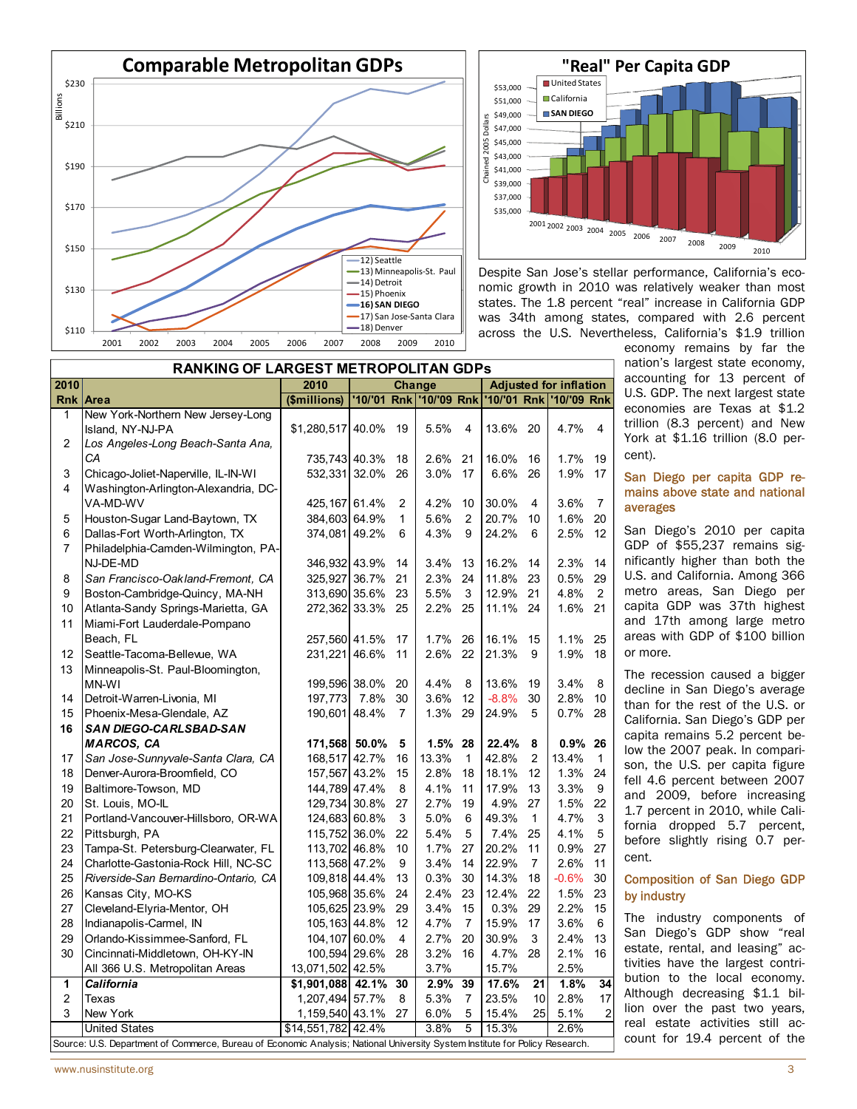



Despite San Jose's stellar performance, California's economic growth in 2010 was relatively weaker than most states. The 1.8 percent "real" increase in California GDP was 34th among states, compared with 2.6 percent across the U.S. Nevertheless, California's \$1.9 trillion

| <b>RANKING OF LARGEST METROPOLITAN GDPS</b>                                                                                 |                                      |                                      |             |                |              |                      |                               |                       |              |                |  |
|-----------------------------------------------------------------------------------------------------------------------------|--------------------------------------|--------------------------------------|-------------|----------------|--------------|----------------------|-------------------------------|-----------------------|--------------|----------------|--|
| 2010                                                                                                                        |                                      | 2010<br><b>Change</b>                |             |                |              |                      | <b>Adjusted for inflation</b> |                       |              |                |  |
| <b>Rnk</b>                                                                                                                  | Area                                 | (\$millions)                         | '10/'01 Rnk | '10/'09 Rnk    |              |                      | '10/'01 Rnk                   |                       | '10/'09 Rnk  |                |  |
| 1                                                                                                                           | New York-Northern New Jersey-Long    |                                      |             |                |              |                      |                               |                       |              |                |  |
|                                                                                                                             | Island, NY-NJ-PA                     | \$1,280,517 40.0%                    |             | 19             | 5.5%         | 4                    | 13.6%                         | 20                    | 4.7%         | 4              |  |
| 2                                                                                                                           | Los Angeles-Long Beach-Santa Ana,    |                                      |             |                |              |                      |                               |                       |              |                |  |
|                                                                                                                             | CА                                   | 735,743 40.3%                        |             | 18             | 2.6%         | 21                   | 16.0%                         | 16                    | 1.7%         | 19             |  |
| 3                                                                                                                           | Chicago-Joliet-Naperville, IL-IN-WI  | 532,331 32.0%                        |             | 26             | 3.0%         | 17                   | 6.6%                          | 26                    | 1.9%         | 17             |  |
| 4                                                                                                                           | Washington-Arlington-Alexandria, DC- |                                      |             |                |              |                      |                               |                       |              |                |  |
|                                                                                                                             | VA-MD-WV                             | 425, 167 61.4%                       |             | 2              | 4.2%         | 10                   | 30.0%                         | $\overline{4}$        | 3.6%         | $\overline{7}$ |  |
| 5                                                                                                                           | Houston-Sugar Land-Baytown, TX       | 384,603 64.9%                        |             | $\mathbf{1}$   | 5.6%         | $\overline{c}$       | 20.7%                         | 10                    | 1.6%         | 20             |  |
| 6                                                                                                                           | Dallas-Fort Worth-Arlington, TX      | 374,081 49.2%                        |             | 6              | 4.3%         | 9                    | 24.2%                         | 6                     | 2.5%         | 12             |  |
| $\overline{7}$                                                                                                              | Philadelphia-Camden-Wilmington, PA-  |                                      |             |                |              |                      |                               |                       |              |                |  |
|                                                                                                                             | NJ-DE-MD                             | 346,932 43.9%                        |             | 14             | 3.4%         | 13                   | 16.2%                         | 14                    | 2.3%         | 14             |  |
| 8                                                                                                                           | San Francisco-Oakland-Fremont, CA    | 325,927 36.7%                        |             | 21             | 2.3%         | 24                   | 11.8%                         | 23                    | 0.5%         | 29             |  |
| 9                                                                                                                           | Boston-Cambridge-Quincy, MA-NH       | 313,690 35.6%                        |             | 23             | 5.5%         | 3                    | 12.9%                         | 21                    | 4.8%         | $\overline{2}$ |  |
| 10                                                                                                                          | Atlanta-Sandy Springs-Marietta, GA   | 272,362 33.3%                        |             | 25             | 2.2%         | 25                   | 11.1%                         | 24                    | 1.6%         | 21             |  |
| 11                                                                                                                          | Miami-Fort Lauderdale-Pompano        |                                      |             |                |              |                      |                               |                       |              |                |  |
|                                                                                                                             | Beach, FL                            | 257,560 41.5%                        |             | 17             | 1.7%         | 26                   | 16.1%                         | 15                    | 1.1%         | 25             |  |
| 12                                                                                                                          | Seattle-Tacoma-Bellevue, WA          | 231,221 46.6%                        |             | 11             | 2.6%         | 22                   | 21.3%                         | 9                     | 1.9%         | 18             |  |
| 13                                                                                                                          | Minneapolis-St. Paul-Bloomington,    |                                      |             |                |              |                      |                               |                       |              |                |  |
|                                                                                                                             | MN-WI                                | 199,596 38.0%                        |             | 20             | 4.4%         | 8                    | 13.6%                         | 19                    | 3.4%         | 8              |  |
| 14                                                                                                                          | Detroit-Warren-Livonia, MI           | 197,773                              | 7.8%        | 30             | 3.6%         | 12                   | $-8.8%$                       | 30                    | 2.8%         | 10             |  |
| 15                                                                                                                          | Phoenix-Mesa-Glendale, AZ            | 190,601 48.4%                        |             | $\overline{7}$ | 1.3%         | 29                   | 24.9%                         | 5                     | 0.7%         | 28             |  |
| 16                                                                                                                          | <b>SAN DIEGO-CARLSBAD-SAN</b>        |                                      |             |                |              |                      |                               |                       |              |                |  |
|                                                                                                                             | <b>MARCOS, CA</b>                    | 171,568 50.0%                        |             | 5              | $1.5\%$      | 28                   | 22.4%                         | 8                     | 0.9%         | 26             |  |
| 17                                                                                                                          | San Jose-Sunnyvale-Santa Clara, CA   | 168,517 42.7%                        |             | 16             | 13.3%        | $\mathbf{1}$         | 42.8%                         | $\overline{c}$        | 13.4%        | $\mathbf{1}$   |  |
| 18                                                                                                                          | Denver-Aurora-Broomfield, CO         | 157,567 43.2%                        |             | 15             | 2.8%         | 18                   | 18.1%                         | 12                    | 1.3%         | 24             |  |
| 19                                                                                                                          | Baltimore-Towson, MD                 | 144,789 47.4%                        |             | 8              | 4.1%         | 11                   | 17.9%                         | 13                    | 3.3%         | 9              |  |
| 20                                                                                                                          | St. Louis, MO-IL                     | 129,734 30.8%                        |             | 27             | 2.7%         | 19                   | 4.9%                          | 27                    | 1.5%         | 22             |  |
| 21                                                                                                                          | Portland-Vancouver-Hillsboro, OR-WA  | 124,683 60.8%                        |             | 3              | 5.0%         | 6                    | 49.3%                         | $\mathbf{1}$          | 4.7%         | 3              |  |
| 22                                                                                                                          | Pittsburgh, PA                       | 115,752 36.0%                        |             | 22             | 5.4%         | 5                    | 7.4%                          | 25                    | 4.1%         | 5              |  |
| 23                                                                                                                          | Tampa-St. Petersburg-Clearwater, FL  | 113,702 46.8%                        |             | 10             | 1.7%         | 27                   | 20.2%                         | 11                    | 0.9%         | 27             |  |
| 24                                                                                                                          | Charlotte-Gastonia-Rock Hill, NC-SC  | 113,568 47.2%                        |             | 9              | 3.4%         | 14                   | 22.9%                         | $\overline{7}$        | 2.6%         | 11             |  |
| 25                                                                                                                          | Riverside-San Bernardino-Ontario, CA | 109,818 44.4%                        |             | 13             | 0.3%         | 30                   | 14.3%                         | 18                    | $-0.6%$      | 30             |  |
| 26                                                                                                                          | Kansas City, MO-KS                   | 105,968 35.6%                        |             | 24             | 2.4%         | 23                   | 12.4%                         | 22                    | 1.5%         | 23             |  |
| 27                                                                                                                          | Cleveland-Elyria-Mentor, OH          | 105,625 23.9%                        |             | 29             | 3.4%         | 15                   | 0.3%                          | 29                    | 2.2%         | 15             |  |
| 28                                                                                                                          | Indianapolis-Carmel, IN              | 105,163 44.8%                        |             | 12             | 4.7%         | $\overline{7}$       | 15.9%                         | 17                    | 3.6%         | 6              |  |
| 29                                                                                                                          | Orlando-Kissimmee-Sanford, FL        | 104,107 60.0%                        |             | $\overline{4}$ | 2.7%         | 20                   | 30.9%                         | 3                     | 2.4%         | 13             |  |
| 30                                                                                                                          | Cincinnati-Middletown, OH-KY-IN      | 100,594 29.6%                        |             | 28             | 3.2%<br>3.7% | 16                   | 4.7%                          | 28                    | 2.1%<br>2.5% | 16             |  |
|                                                                                                                             | All 366 U.S. Metropolitan Areas      | 13,071,502 42.5%                     |             |                | 2.9%         |                      | 15.7%                         |                       | 1.8%         | 34             |  |
| 1<br>$\overline{c}$                                                                                                         | <b>California</b><br>Texas           | \$1,901,088 42.1%<br>1,207,494 57.7% |             | 30<br>8        | 5.3%         | 39<br>$\overline{7}$ | 17.6%<br>23.5%                | 21<br>10 <sup>1</sup> | 2.8%         | 17             |  |
| 3                                                                                                                           | New York                             | 1, 159, 540 43.1%                    |             | 27             | 6.0%         | 5                    | 15.4%                         | 25                    | 5.1%         | 2              |  |
|                                                                                                                             | <b>United States</b>                 | \$14,551,782 42.4%                   |             |                | 3.8%         | 5                    | 15.3%                         |                       | 2.6%         |                |  |
| Source: U.S. Department of Commerce, Bureau of Economic Analysis; National University System Institute for Policy Research. |                                      |                                      |             |                |              |                      |                               |                       |              |                |  |

cent). San Diego per capita GDP remains above state and national averages

economy remains by far the nation's largest state economy, accounting for 13 percent of U.S. GDP. The next largest state economies are Texas at \$1.2 trillion (8.3 percent) and New York at \$1.16 trillion (8.0 per-

San Diego's 2010 per capita GDP of \$55,237 remains significantly higher than both the U.S. and California. Among 366 metro areas, San Diego per capita GDP was 37th highest and 17th among large metro areas with GDP of \$100 billion or more.

The recession caused a bigger decline in San Diego's average than for the rest of the U.S. or California. San Diego's GDP per capita remains 5.2 percent below the 2007 peak. In comparison, the U.S. per capita figure fell 4.6 percent between 2007 and 2009, before increasing 1.7 percent in 2010, while California dropped 5.7 percent, before slightly rising 0.7 percent.

#### Composition of San Diego GDP by industry

The industry components of San Diego's GDP show "real estate, rental, and leasing" activities have the largest contribution to the local economy. Although decreasing \$1.1 billion over the past two years, real estate activities still account for 19.4 percent of the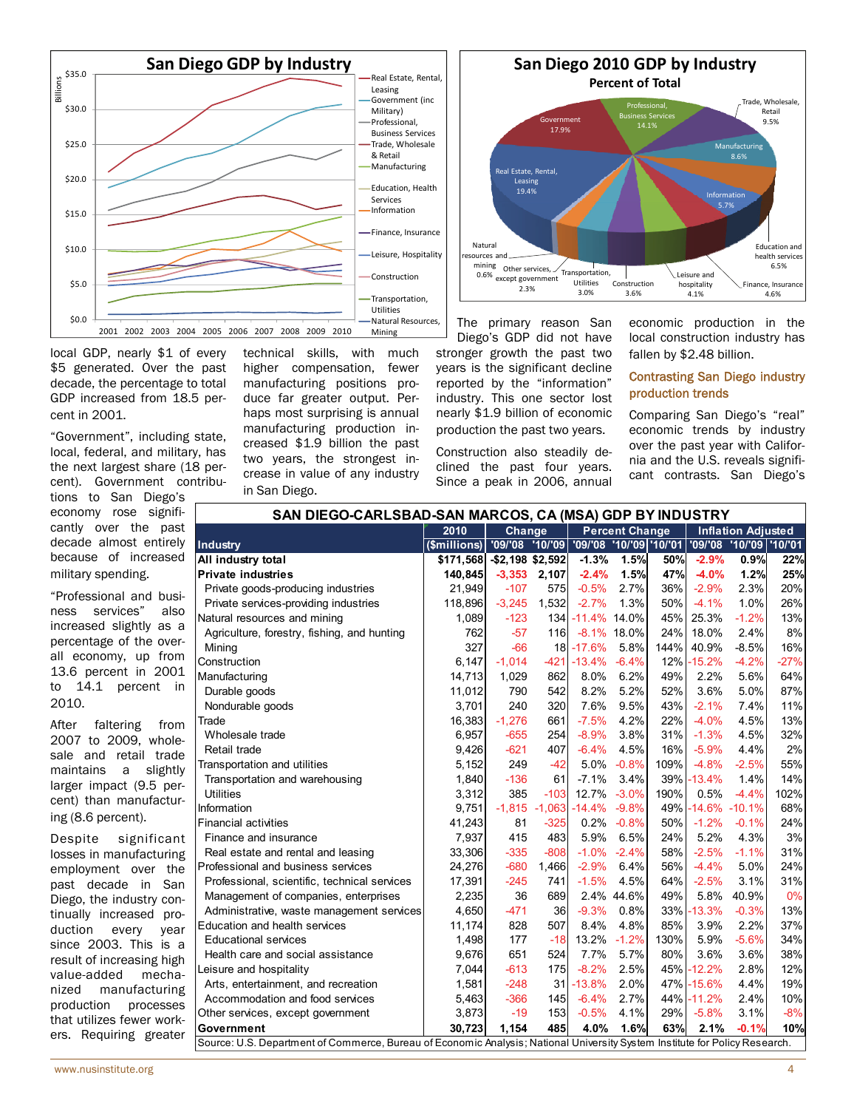



"Government", including state, local, federal, and military, has the next largest share (18 percent). Government contribu-

tions to San Diego's economy rose significantly over the past decade almost entirely because of increased military spending.

"Professional and business services" also increased slightly as a percentage of the overall economy, up from 13.6 percent in 2001 to 14.1 percent in 2010.

After faltering from 2007 to 2009, wholesale and retail trade maintains a slightly larger impact (9.5 percent) than manufacturing (8.6 percent).

Despite significant losses in manufacturing employment over the past decade in San Diego, the industry continually increased production every year since 2003. This is a result of increasing high value-added mechanized manufacturing production processes that utilizes fewer workers. Requiring greater

technical skills, with much higher compensation, fewer manufacturing positions produce far greater output. Perhaps most surprising is annual manufacturing production increased \$1.9 billion the past two years, the strongest increase in value of any industry in San Diego.



The primary reason San Diego's GDP did not have stronger growth the past two years is the significant decline reported by the "information" industry. This one sector lost nearly \$1.9 billion of economic production the past two years.

Construction also steadily declined the past four years. Since a peak in 2006, annual economic production in the local construction industry has fallen by \$2.48 billion.

### Contrasting San Diego industry production trends

Comparing San Diego's "real" economic trends by industry over the past year with California and the U.S. reveals significant contrasts. San Diego's

| SAN DIEGO-CARLSBAD-SAN MARCOS, CA (MSA) GDP BY INDUSTRY |                                                                                                                             |                 |                 |          |                        |      |                           |                   |        |  |
|---------------------------------------------------------|-----------------------------------------------------------------------------------------------------------------------------|-----------------|-----------------|----------|------------------------|------|---------------------------|-------------------|--------|--|
|                                                         | Change<br>2010                                                                                                              |                 |                 |          | <b>Percent Change</b>  |      | <b>Inflation Adjusted</b> |                   |        |  |
| <b>Industry</b>                                         | (\$millions)                                                                                                                | '09/'08 '10/'09 |                 |          | 09/'08 '10/'09 '10/'01 |      |                           | '09/'08 '10/'09   | '10'01 |  |
| All industry total                                      | \$171,568 - \$2,198 \$2,592                                                                                                 |                 |                 | $-1.3%$  | 1.5%                   | 50%  | $-2.9%$                   | 0.9%              | 22%    |  |
| <b>Private industries</b>                               | 140,845                                                                                                                     | $-3,353$        | 2,107           | $-2.4%$  | 1.5%                   | 47%  | $-4.0%$                   | 1.2%              | 25%    |  |
| Private goods-producing industries                      | 21,949                                                                                                                      | $-107$          | 575             | $-0.5%$  | 2.7%                   | 36%  | $-2.9%$                   | 2.3%              | 20%    |  |
| Private services-providing industries                   | 118,896                                                                                                                     | $-3,245$        | 1,532           | $-2.7%$  | 1.3%                   | 50%  | $-4.1%$                   | 1.0%              | 26%    |  |
| Natural resources and mining                            | 1,089                                                                                                                       | $-123$          | 134             | $-11.4%$ | 14.0%                  | 45%  | 25.3%                     | $-1.2%$           | 13%    |  |
| Agriculture, forestry, fishing, and hunting             | 762                                                                                                                         | $-57$           | 116             |          | $-8.1\%$ 18.0%         | 24%  | 18.0%                     | 2.4%              | 8%     |  |
| Mining                                                  | 327                                                                                                                         | $-66$           | 18 <sup>1</sup> | $-17.6%$ | 5.8%                   | 144% | 40.9%                     | $-8.5%$           | 16%    |  |
| Construction                                            | 6,147                                                                                                                       | $-1,014$        | $-421$          | $-13.4%$ | $-6.4%$                | 12%  | $-15.2%$                  | $-4.2%$           | $-27%$ |  |
| Manufacturing                                           | 14,713                                                                                                                      | 1,029           | 862             | 8.0%     | 6.2%                   | 49%  | 2.2%                      | 5.6%              | 64%    |  |
| Durable goods                                           | 11,012                                                                                                                      | 790             | 542             | 8.2%     | 5.2%                   | 52%  | 3.6%                      | 5.0%              | 87%    |  |
| Nondurable goods                                        | 3,701                                                                                                                       | 240             | 320             | 7.6%     | 9.5%                   | 43%  | $-2.1%$                   | 7.4%              | 11%    |  |
| Trade                                                   | 16,383                                                                                                                      | $-1,276$        | 661             | $-7.5%$  | 4.2%                   | 22%  | $-4.0%$                   | 4.5%              | 13%    |  |
| Wholesale trade                                         | 6,957                                                                                                                       | $-655$          | 254             | $-8.9%$  | 3.8%                   | 31%  | $-1.3%$                   | 4.5%              | 32%    |  |
| Retail trade                                            | 9,426                                                                                                                       | $-621$          | 407             | $-6.4%$  | 4.5%                   | 16%  | $-5.9%$                   | 4.4%              | 2%     |  |
| Transportation and utilities                            | 5,152                                                                                                                       | 249             | $-42$           | 5.0%     | $-0.8%$                | 109% | $-4.8%$                   | $-2.5%$           | 55%    |  |
| Transportation and warehousing                          | 1,840                                                                                                                       | $-136$          | 61              | $-7.1%$  | 3.4%                   | 39%  | $-13.4%$                  | 1.4%              | 14%    |  |
| <b>Utilities</b>                                        | 3,312                                                                                                                       | 385             | $-103$          | 12.7%    | $-3.0%$                | 190% | 0.5%                      | $-4.4%$           | 102%   |  |
| Information                                             | 9,751                                                                                                                       | $-1,815$        | $-1,063$        | $-14.4%$ | $-9.8%$                | 49%  |                           | $-14.6\% -10.1\%$ | 68%    |  |
| <b>Financial activities</b>                             | 41,243                                                                                                                      | 81              | $-325$          | 0.2%     | $-0.8%$                | 50%  | $-1.2%$                   | $-0.1%$           | 24%    |  |
| Finance and insurance                                   | 7,937                                                                                                                       | 415             | 483             | 5.9%     | 6.5%                   | 24%  | 5.2%                      | 4.3%              | 3%     |  |
| Real estate and rental and leasing                      | 33,306                                                                                                                      | $-335$          | $-808$          | $-1.0%$  | $-2.4%$                | 58%  | $-2.5%$                   | $-1.1%$           | 31%    |  |
| Professional and business services                      | 24,276                                                                                                                      | $-680$          | 1,466           | $-2.9%$  | 6.4%                   | 56%  | $-4.4%$                   | 5.0%              | 24%    |  |
| Professional, scientific, technical services            | 17,391                                                                                                                      | $-245$          | 741             | $-1.5%$  | 4.5%                   | 64%  | $-2.5%$                   | 3.1%              | 31%    |  |
| Management of companies, enterprises                    | 2,235                                                                                                                       | 36              | 689             |          | 2.4% 44.6%             | 49%  | 5.8%                      | 40.9%             | 0%     |  |
| Administrative, waste management services               | 4,650                                                                                                                       | $-471$          | 36              | $-9.3%$  | 0.8%                   | 33%  | $-13.3%$                  | $-0.3%$           | 13%    |  |
| Education and health services                           | 11,174                                                                                                                      | 828             | 507             | 8.4%     | 4.8%                   | 85%  | 3.9%                      | 2.2%              | 37%    |  |
| <b>Educational services</b>                             | 1,498                                                                                                                       | 177             | $-18$           | 13.2%    | $-1.2%$                | 130% | 5.9%                      | $-5.6%$           | 34%    |  |
| Health care and social assistance                       | 9,676                                                                                                                       | 651             | 524             | 7.7%     | 5.7%                   | 80%  | 3.6%                      | 3.6%              | 38%    |  |
| Leisure and hospitality                                 | 7,044                                                                                                                       | $-613$          | 175             | $-8.2%$  | 2.5%                   | 45%  | $-12.2%$                  | 2.8%              | 12%    |  |
| Arts, entertainment, and recreation                     | 1,581                                                                                                                       | $-248$          | 31              | $-13.8%$ | 2.0%                   | 47%  | $-15.6%$                  | 4.4%              | 19%    |  |
| Accommodation and food services                         | 5,463                                                                                                                       | $-366$          | 145             | $-6.4%$  | 2.7%                   | 44%  | $-11.2%$                  | 2.4%              | 10%    |  |
| Other services, except government                       | 3,873                                                                                                                       | $-19$           | 153             | $-0.5%$  | 4.1%                   | 29%  | $-5.8%$                   | 3.1%              | $-8%$  |  |
| Government                                              | 30.723                                                                                                                      | 1.154           | 485             | 4.0%     | 1.6%                   | 63%  | 2.1%                      | $-0.1%$           | 10%    |  |
|                                                         | Source: U.S. Department of Commerce, Bureau of Economic Analysis; National University System Institute for Policy Research. |                 |                 |          |                        |      |                           |                   |        |  |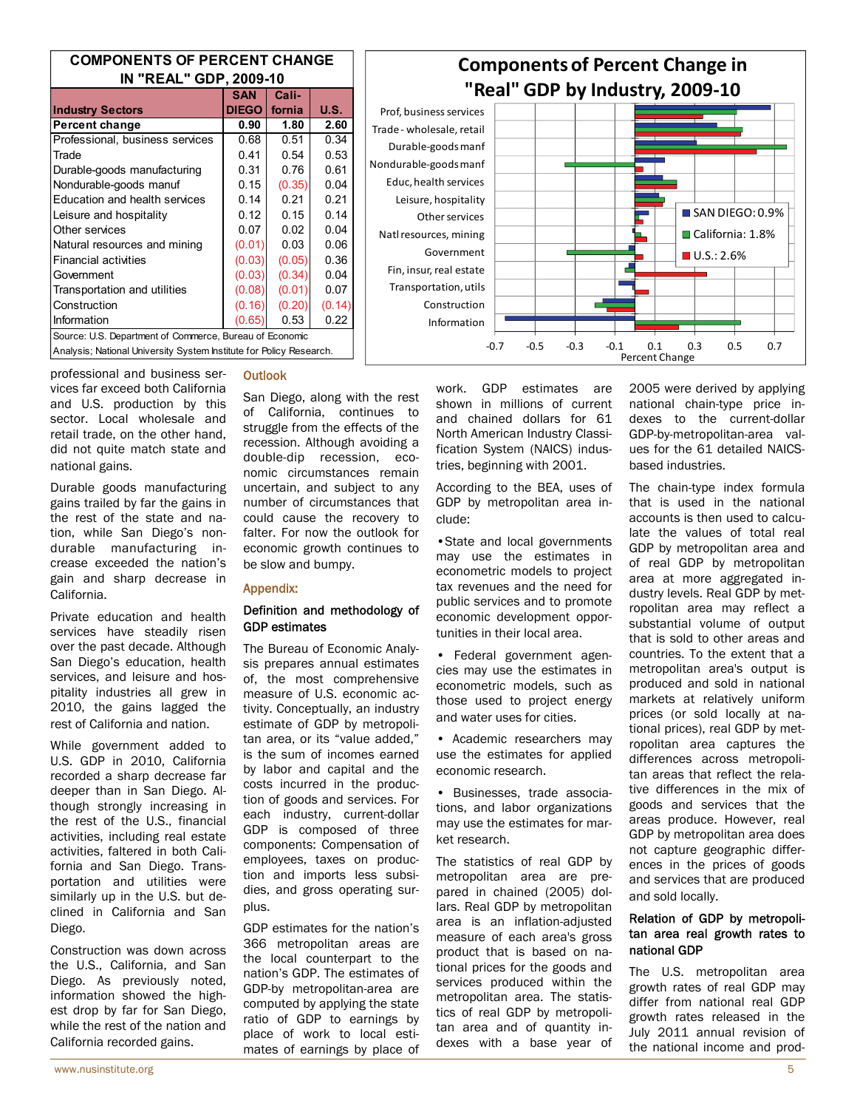| <b>COMPONENTS OF PERCENT CHANGE</b>                                 |            |        |        | <b>Components of Percent Change in</b> |                                                                                   |  |  |  |  |  |  |  |
|---------------------------------------------------------------------|------------|--------|--------|----------------------------------------|-----------------------------------------------------------------------------------|--|--|--|--|--|--|--|
| IN "REAL" GDP, 2009-10                                              |            |        |        |                                        |                                                                                   |  |  |  |  |  |  |  |
|                                                                     | <b>SAN</b> | Cali-  |        | "Real" GDP by Industry, 2009-10        |                                                                                   |  |  |  |  |  |  |  |
| <b>Industry Sectors</b><br><b>DIEGO</b>                             |            | fornia | U.S.   | Prof, business services                |                                                                                   |  |  |  |  |  |  |  |
| <b>Percent change</b>                                               | 0.90       | 1.80   | 2.60   | Trade - wholesale, retail              |                                                                                   |  |  |  |  |  |  |  |
| Professional, business services                                     | 0.68       | 0.51   | 0.34   | Durable-goods manf                     |                                                                                   |  |  |  |  |  |  |  |
| Trade                                                               | 0.41       | 0.54   | 0.53   |                                        |                                                                                   |  |  |  |  |  |  |  |
| Durable-goods manufacturing                                         | 0.31       | 0.76   | 0.61   | Nondurable-goods manf                  |                                                                                   |  |  |  |  |  |  |  |
| Nondurable-goods manuf<br>0.15                                      |            | (0.35) | 0.04   | Educ, health services                  |                                                                                   |  |  |  |  |  |  |  |
| Education and health services                                       | 0.14       | 0.21   | 0.21   | Leisure, hospitality                   |                                                                                   |  |  |  |  |  |  |  |
| Leisure and hospitality                                             | 0.12       | 0.15   | 0.14   | Other services                         | $\blacksquare$ SAN DIEGO: 0.9%                                                    |  |  |  |  |  |  |  |
| <b>Other services</b>                                               | 0.07       | 0.02   | 0.04   | Natl resources, mining                 | California: 1.8%                                                                  |  |  |  |  |  |  |  |
| Natural resources and mining                                        | (0.01)     | 0.03   | 0.06   |                                        |                                                                                   |  |  |  |  |  |  |  |
| Financial activities                                                | (0.03)     | (0.05) | 0.36   | Government                             | $\blacksquare$ U.S.: 2.6%                                                         |  |  |  |  |  |  |  |
| lGovernment                                                         | (0.03)     | (0.34) | 0.04   | Fin, insur, real estate                |                                                                                   |  |  |  |  |  |  |  |
| Transportation and utilities                                        | (0.08)     | (0.01) | 0.07   | Transportation, utils                  |                                                                                   |  |  |  |  |  |  |  |
| lConstruction                                                       | (0.16)     | (0.20) | (0.14) | Construction                           |                                                                                   |  |  |  |  |  |  |  |
| Information                                                         | (0.65)     | 0.53   | 0.22   | Information                            |                                                                                   |  |  |  |  |  |  |  |
| Source: U.S. Department of Commerce, Bureau of Economic             |            |        |        |                                        |                                                                                   |  |  |  |  |  |  |  |
| Analysis; National University System Institute for Policy Research. |            |        |        |                                        | 0.5<br>0.7<br>$-0.5$<br>$-0.3$<br>$-0.1$<br>0.3<br>$-0.7$<br>0.1<br>Desemb Chaman |  |  |  |  |  |  |  |

### Information Construction Transportation,utils Fin, insur, real estate Government Natlresources, mining Other services Leisure, hospitality Educ,health services Nondurable‐goodsmanf Durable‐goodsmanf Trade - wholesale, retail Prof, business services **Components of Percent Change in "Real" GDP by Industry, 2009‐10** SAN DIEGO: 0.9% California: 1.8% ■ U.S.: 2.6%

professional and business services far exceed both California and U.S. production by this sector. Local wholesale and retail trade, on the other hand, did not quite match state and national gains.

Durable goods manufacturing gains trailed by far the gains in the rest of the state and nation, while San Diego's nondurable manufacturing increase exceeded the nation's gain and sharp decrease in California.

Private education and health services have steadily risen over the past decade. Although San Diego's education, health services, and leisure and hospitality industries all grew in 2010, the gains lagged the rest of California and nation.

While government added to U.S. GDP in 2010, California recorded a sharp decrease far deeper than in San Diego. Although strongly increasing in the rest of the U.S., financial activities, including real estate activities, faltered in both California and San Diego. Transportation and utilities were similarly up in the U.S. but declined in California and San Diego.

Construction was down across the U.S., California, and San Diego. As previously noted, information showed the highest drop by far for San Diego, while the rest of the nation and California recorded gains.

#### **Outlook**

San Diego, along with the rest of California, continues to struggle from the effects of the recession. Although avoiding a double-dip recession, economic circumstances remain uncertain, and subject to any number of circumstances that could cause the recovery to falter. For now the outlook for economic growth continues to be slow and bumpy.

#### Appendix:

#### Definition and methodology of GDP estimates

The Bureau of Economic Analysis prepares annual estimates of, the most comprehensive measure of U.S. economic activity. Conceptually, an industry estimate of GDP by metropolitan area, or its "value added," is the sum of incomes earned by labor and capital and the costs incurred in the production of goods and services. For each industry, current-dollar GDP is composed of three components: Compensation of employees, taxes on production and imports less subsidies, and gross operating surplus.

GDP estimates for the nation's 366 metropolitan areas are the local counterpart to the nation's GDP. The estimates of GDP-by metropolitan-area are computed by applying the state ratio of GDP to earnings by place of work to local estimates of earnings by place of

work. GDP estimates are shown in millions of current and chained dollars for 61 North American Industry Classification System (NAICS) industries, beginning with 2001.

According to the BEA, uses of GDP by metropolitan area include:

•State and local governments may use the estimates in econometric models to project tax revenues and the need for public services and to promote economic development opportunities in their local area.

• Federal government agencies may use the estimates in econometric models, such as those used to project energy and water uses for cities.

• Academic researchers may use the estimates for applied economic research.

• Businesses, trade associations, and labor organizations may use the estimates for market research.

The statistics of real GDP by metropolitan area are prepared in chained (2005) dollars. Real GDP by metropolitan area is an inflation-adjusted measure of each area's gross product that is based on national prices for the goods and services produced within the metropolitan area. The statistics of real GDP by metropolitan area and of quantity indexes with a base year of

2005 were derived by applying national chain-type price indexes to the current-dollar GDP-by-metropolitan-area values for the 61 detailed NAICSbased industries.

Percent Change

The chain-type index formula that is used in the national accounts is then used to calculate the values of total real GDP by metropolitan area and of real GDP by metropolitan area at more aggregated industry levels. Real GDP by metropolitan area may reflect a substantial volume of output that is sold to other areas and countries. To the extent that a metropolitan area's output is produced and sold in national markets at relatively uniform prices (or sold locally at national prices), real GDP by metropolitan area captures the differences across metropolitan areas that reflect the relative differences in the mix of goods and services that the areas produce. However, real GDP by metropolitan area does not capture geographic differences in the prices of goods and services that are produced and sold locally.

#### Relation of GDP by metropolitan area real growth rates to national GDP

The U.S. metropolitan area growth rates of real GDP may differ from national real GDP growth rates released in the July 2011 annual revision of the national income and prod-